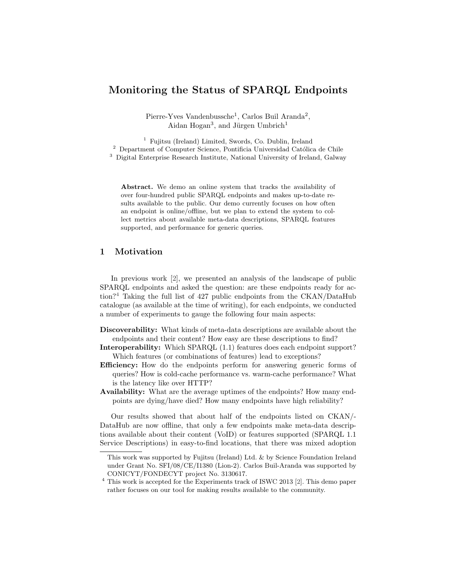# Monitoring the Status of SPARQL Endpoints

Pierre-Yves Vandenbussche<sup>1</sup>, Carlos Buil Aranda<sup>2</sup>, Aidan Hogan<sup>3</sup>, and Jürgen Umbrich<sup>1</sup>

<sup>1</sup> Fujitsu (Ireland) Limited, Swords, Co. Dublin, Ireland  $2$  Department of Computer Science, Pontificia Universidad Católica de Chile

<sup>3</sup> Digital Enterprise Research Institute, National University of Ireland, Galway

Abstract. We demo an online system that tracks the availability of over four-hundred public SPARQL endpoints and makes up-to-date results available to the public. Our demo currently focuses on how often an endpoint is online/offline, but we plan to extend the system to collect metrics about available meta-data descriptions, SPARQL features supported, and performance for generic queries.

### <span id="page-0-1"></span>1 Motivation

In previous work [\[2\]](#page-3-0), we presented an analysis of the landscape of public SPARQL endpoints and asked the question: are these endpoints ready for action?[4](#page-0-0) Taking the full list of 427 public endpoints from the CKAN/DataHub catalogue (as available at the time of writing), for each endpoints, we conducted a number of experiments to gauge the following four main aspects:

Discoverability: What kinds of meta-data descriptions are available about the endpoints and their content? How easy are these descriptions to find?

- Interoperability: Which SPARQL (1.1) features does each endpoint support? Which features (or combinations of features) lead to exceptions?
- Efficiency: How do the endpoints perform for answering generic forms of queries? How is cold-cache performance vs. warm-cache performance? What is the latency like over HTTP?
- Availability: What are the average uptimes of the endpoints? How many endpoints are dying/have died? How many endpoints have high reliability?

Our results showed that about half of the endpoints listed on CKAN/- DataHub are now offline, that only a few endpoints make meta-data descriptions available about their content (VoID) or features supported (SPARQL 1.1 Service Descriptions) in easy-to-find locations, that there was mixed adoption

This work was supported by Fujitsu (Ireland) Ltd. & by Science Foundation Ireland under Grant No. SFI/08/CE/I1380 (Lion-2). Carlos Buil-Aranda was supported by CONICYT/FONDECYT project No. 3130617.

<span id="page-0-0"></span><sup>4</sup> This work is accepted for the Experiments track of ISWC 2013 [\[2\]](#page-3-0). This demo paper rather focuses on our tool for making results available to the community.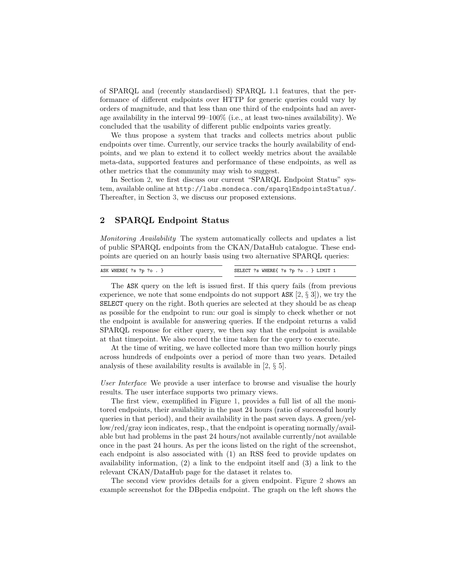of SPARQL and (recently standardised) SPARQL 1.1 features, that the performance of different endpoints over HTTP for generic queries could vary by orders of magnitude, and that less than one third of the endpoints had an average availability in the interval 99–100% (i.e., at least two-nines availability). We concluded that the usability of different public endpoints varies greatly.

We thus propose a system that tracks and collects metrics about public endpoints over time. Currently, our service tracks the hourly availability of endpoints, and we plan to extend it to collect weekly metrics about the available meta-data, supported features and performance of these endpoints, as well as other metrics that the community may wish to suggest.

In Section [2,](#page-1-0) we first discuss our current "SPARQL Endpoint Status" system, available online at <http://labs.mondeca.com/sparqlEndpointsStatus/>. Thereafter, in Section [3,](#page-3-1) we discuss our proposed extensions.

#### <span id="page-1-0"></span>2 SPARQL Endpoint Status

Monitoring Availability The system automatically collects and updates a list of public SPARQL endpoints from the CKAN/DataHub catalogue. These endpoints are queried on an hourly basis using two alternative SPARQL queries:

ASK WHERE{ ?s ?p ?o . } SELECT ?s WHERE{ ?s ?p ?o . } LIMIT 1

The ASK query on the left is issued first. If this query fails (from previous experience, we note that some endpoints do not support ASK  $[2, \S 3]$  $[2, \S 3]$ , we try the SELECT query on the right. Both queries are selected at they should be as cheap as possible for the endpoint to run: our goal is simply to check whether or not the endpoint is available for answering queries. If the endpoint returns a valid SPARQL response for either query, we then say that the endpoint is available at that timepoint. We also record the time taken for the query to execute.

At the time of writing, we have collected more than two million hourly pings across hundreds of endpoints over a period of more than two years. Detailed analysis of these availability results is available in [\[2,](#page-3-0) § 5].

User Interface We provide a user interface to browse and visualise the hourly results. The user interface supports two primary views.

The first view, exemplified in Figure [1,](#page-2-0) provides a full list of all the monitored endpoints, their availability in the past 24 hours (ratio of successful hourly queries in that period), and their availability in the past seven days. A green/yellow/red/gray icon indicates, resp., that the endpoint is operating normally/available but had problems in the past 24 hours/not available currently/not available once in the past 24 hours. As per the icons listed on the right of the screenshot, each endpoint is also associated with (1) an RSS feed to provide updates on availability information, (2) a link to the endpoint itself and (3) a link to the relevant CKAN/DataHub page for the dataset it relates to.

The second view provides details for a given endpoint. Figure [2](#page-2-1) shows an example screenshot for the DBpedia endpoint. The graph on the left shows the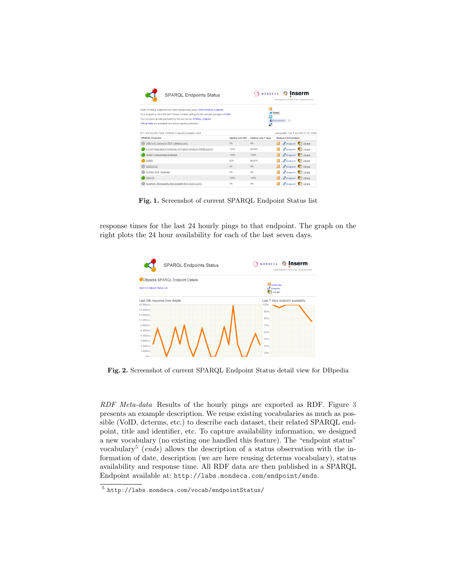| <b>SPARQL Endpoints Status</b>                                                                                                                                                                                                                                                                                             |                 | MONDECA                   | <b>曲 Inserm</b><br>developped by Pierre-Yves Vandenbussche |
|----------------------------------------------------------------------------------------------------------------------------------------------------------------------------------------------------------------------------------------------------------------------------------------------------------------------------|-----------------|---------------------------|------------------------------------------------------------|
| Public SPARQL endpoints list is fetch dynamically using CKAN SPARQL Endpoint.<br>Your endpoint is not in this list? Please consider adding it to the relevant package in CKAN.<br>You can query all data generated by this tool via our SPARQL endpoint.<br>Official Stats are avaialable and will be reqularly published. |                 | п<br>æ                    | <b>Tweet</b><br>Recommend<br>$\left(19\right)$             |
| 251 / 479 (52.4%) Public SPARQL Endpoints available / total                                                                                                                                                                                                                                                                |                 |                           | Last update: Tue, 9 Jul 2013 21:32 +0200                   |
| <b>SPARQL Endpoint</b>                                                                                                                                                                                                                                                                                                     | Uptime Last 24h | <b>Uptime Last 7 days</b> | <b>Endpoint information</b>                                |
| 2000 U.S. Census in RDF (rdfabout.com)                                                                                                                                                                                                                                                                                     | 0%              | 0%                        | <b>A</b> Endpoint <b>A</b> Ckan                            |
| A Short Biographical Dictionary of English Literature (RKBExplorer)                                                                                                                                                                                                                                                        | 100%            | 94.64%                    | C Endpoint X ckan                                          |
| <b>AEMET</b> metereological dataset                                                                                                                                                                                                                                                                                        | 100%            | 100%                      | o d'Endpoint V ckan                                        |
| <b>AGRIS</b>                                                                                                                                                                                                                                                                                                               | 92%             | 98.81%                    | <b>CEndpoint V</b> ckan                                    |
| <b>AGROVOC</b>                                                                                                                                                                                                                                                                                                             | 0%              | 0%                        | C Endpoint V ckan                                          |
| <b>ALPINO RDF Treebank</b>                                                                                                                                                                                                                                                                                                 | 0%              | 0%                        | Fendpoint T ckan                                           |
| <b>ASN:US</b>                                                                                                                                                                                                                                                                                                              | 100%            | 100%                      | <b>CEndpoint</b> Tckan                                     |
| Academic Bibliography data available from Acta Cryst E                                                                                                                                                                                                                                                                     | 0%              | 0%                        | Findpoint <b>R</b> ckan                                    |

<span id="page-2-0"></span>Fig. 1. Screenshot of current SPARQL Endpoint Status list

response times for the last 24 hourly pings to that endpoint. The graph on the right plots the 24 hour availability for each of the last seven days.

|                                     | <b>SPARQL Endpoints Status</b>  | <b>鼎 Inserm</b><br><b>SMONDECA</b><br>developped by Pierre-Yves Vandenbussche |
|-------------------------------------|---------------------------------|-------------------------------------------------------------------------------|
|                                     | DBpedia SPARQL Endpoint Details |                                                                               |
| <b>Back to Endpoint Status List</b> |                                 | <b>N</b> Subscribe<br>$\overline{d}^n$ Endpoint<br>$\bullet$ ckan             |
|                                     | Last 24h response time details  | Last 7 days endpoint availability                                             |
| 16 000ms                            |                                 | 100%                                                                          |
| 14.400ms                            |                                 | 90%                                                                           |
| 12 800ms<br>11.200ms                |                                 | 80%                                                                           |
| 9.600ms                             |                                 | 70%                                                                           |
| 8 000ms                             |                                 |                                                                               |
| 6.400ms                             |                                 | 60%                                                                           |
| 4 800ms                             |                                 | 50%                                                                           |
| 3 200ms                             |                                 | 40%                                                                           |
| 1 600ms                             |                                 | 30%                                                                           |
| Oms                                 |                                 |                                                                               |

<span id="page-2-1"></span>Fig. 2. Screenshot of current SPARQL Endpoint Status detail view for DBpedia

RDF Meta-data Results of the hourly pings are exported as RDF. Figure [3](#page-3-2) presents an example description. We reuse existing vocabularies as much as possible (VoID, dcterms, etc.) to describe each dataset, their related SPARQL endpoint, title and identifier, etc. To capture availability information, we designed a new vocabulary (no existing one handled this feature). The "endpoint status" vocabulary<sup>[5](#page-2-2)</sup> (ends) allows the description of a status observation with the information of date, description (we are here reusing dcterms vocabulary), status availability and response time. All RDF data are then published in a SPARQL Endpoint available at: <http://labs.mondeca.com/endpoint/ends>.

<span id="page-2-2"></span><sup>5</sup> <http://labs.mondeca.com/vocab/endpointStatus/>